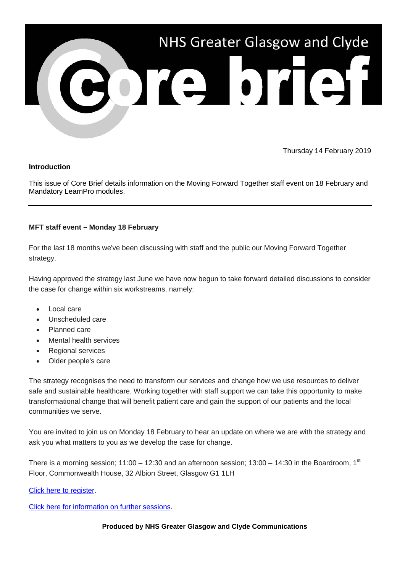

Thursday 14 February 2019

## **Introduction**

This issue of Core Brief details information on the Moving Forward Together staff event on 18 February and Mandatory LearnPro modules.

## **MFT staff event – Monday 18 February**

For the last 18 months we've been discussing with staff and the public our Moving Forward Together strategy.

Having approved the strategy last June we have now begun to take forward detailed discussions to consider the case for change within six workstreams, namely:

- Local care
- Unscheduled care
- Planned care
- Mental health services
- Regional services
- Older people's care

The strategy recognises the need to transform our services and change how we use resources to deliver safe and sustainable healthcare. Working together with staff support we can take this opportunity to make transformational change that will benefit patient care and gain the support of our patients and the local communities we serve.

You are invited to join us on Monday 18 February to hear an update on where we are with the strategy and ask you what matters to you as we develop the case for change.

There is a morning session;  $11:00 - 12:30$  and an afternoon session;  $13:00 - 14:30$  in the Boardroom,  $1<sup>st</sup>$ Floor, Commonwealth House, 32 Albion Street, Glasgow G1 1LH

[Click here to register.](https://www.nhsggc.org.uk/working-with-us/hr-connect/learning-education-and-training/learning-education-catalogue/i-q/moving-forward-together-staff-events/?utm_source=Core%20Brief&utm_medium=Email&utm_campaign=Core_Brief_MFT_18February)

[Click here for information on further sessions.](https://www.nhsggc.org.uk/working-with-us/hr-connect/learning-education-and-training/learning-education-catalogue/i-q/moving-forward-together-staff-events/?utm_source=Core%20Brief&utm_medium=Email&utm_campaign=Core_Brief_MFT_events)

**Produced by NHS Greater Glasgow and Clyde Communications**